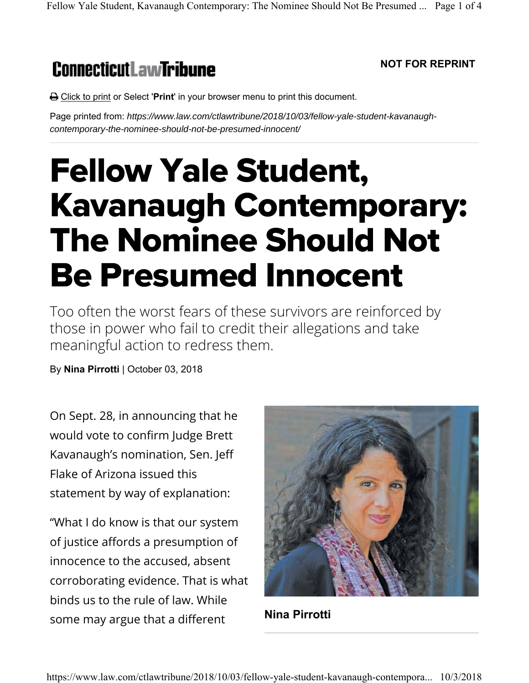## **ConnecticutLawTribune**

## **NOT FOR REPRINT**

**A** Click to print or Select '**Print'** in your browser menu to print this document.

Page printed from: *https://www.law.com/ctlawtribune/2018/10/03/fellow-yale-student-kavanaughcontemporary-the-nominee-should-not-be-presumed-innocent/*

## Fellow Yale Student, Kavanaugh Contemporary: The Nominee Should Not Be Presumed Innocent

Too often the worst fears of these survivors are reinforced by those in power who fail to credit their allegations and take meaningful action to redress them.

By **Nina Pirrotti** | October 03, 2018

On Sept. 28, in announcing that he would vote to confirm Judge Brett Kavanaugh's nomination, Sen. Jeff Flake of Arizona issued this statement by way of explanation:

"What I do know is that our system of justice affords a presumption of innocence to the accused, absent corroborating evidence. That is what binds us to the rule of law. While some may argue that a different



**Nina Pirrotti**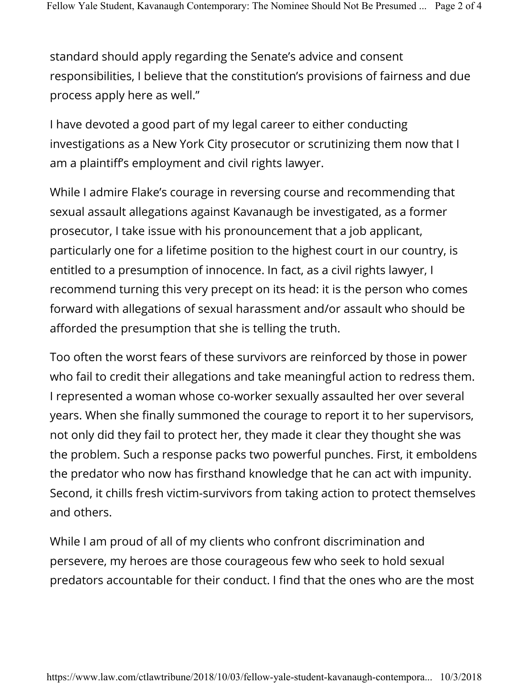standard should apply regarding the Senate's advice and consent responsibilities, I believe that the constitution's provisions of fairness and due process apply here as well."

I have devoted a good part of my legal career to either conducting investigations as a New York City prosecutor or scrutinizing them now that I am a plaintiff's employment and civil rights lawyer.

While I admire Flake's courage in reversing course and recommending that sexual assault allegations against Kavanaugh be investigated, as a former prosecutor, I take issue with his pronouncement that a job applicant, particularly one for a lifetime position to the highest court in our country, is entitled to a presumption of innocence. In fact, as a civil rights lawyer, I recommend turning this very precept on its head: it is the person who comes forward with allegations of sexual harassment and/or assault who should be afforded the presumption that she is telling the truth.

Too often the worst fears of these survivors are reinforced by those in power who fail to credit their allegations and take meaningful action to redress them. I represented a woman whose co-worker sexually assaulted her over several years. When she finally summoned the courage to report it to her supervisors, not only did they fail to protect her, they made it clear they thought she was the problem. Such a response packs two powerful punches. First, it emboldens the predator who now has firsthand knowledge that he can act with impunity. Second, it chills fresh victim-survivors from taking action to protect themselves and others.

While I am proud of all of my clients who confront discrimination and persevere, my heroes are those courageous few who seek to hold sexual predators accountable for their conduct. I find that the ones who are the most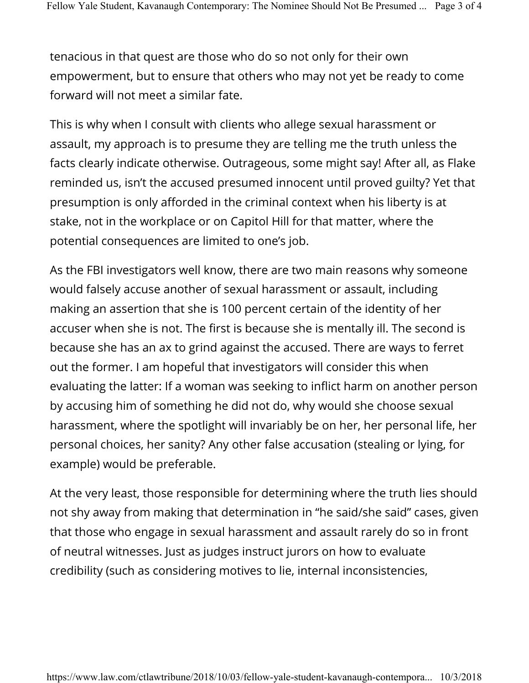tenacious in that quest are those who do so not only for their own empowerment, but to ensure that others who may not yet be ready to come forward will not meet a similar fate.

This is why when I consult with clients who allege sexual harassment or assault, my approach is to presume they are telling me the truth unless the facts clearly indicate otherwise. Outrageous, some might say! After all, as Flake reminded us, isn't the accused presumed innocent until proved guilty? Yet that presumption is only afforded in the criminal context when his liberty is at stake, not in the workplace or on Capitol Hill for that matter, where the potential consequences are limited to one's job.

As the FBI investigators well know, there are two main reasons why someone would falsely accuse another of sexual harassment or assault, including making an assertion that she is 100 percent certain of the identity of her accuser when she is not. The first is because she is mentally ill. The second is because she has an ax to grind against the accused. There are ways to ferret out the former. I am hopeful that investigators will consider this when evaluating the latter: If a woman was seeking to inflict harm on another person by accusing him of something he did not do, why would she choose sexual harassment, where the spotlight will invariably be on her, her personal life, her personal choices, her sanity? Any other false accusation (stealing or lying, for example) would be preferable.

At the very least, those responsible for determining where the truth lies should not shy away from making that determination in "he said/she said" cases, given that those who engage in sexual harassment and assault rarely do so in front of neutral witnesses. Just as judges instruct jurors on how to evaluate credibility (such as considering motives to lie, internal inconsistencies,